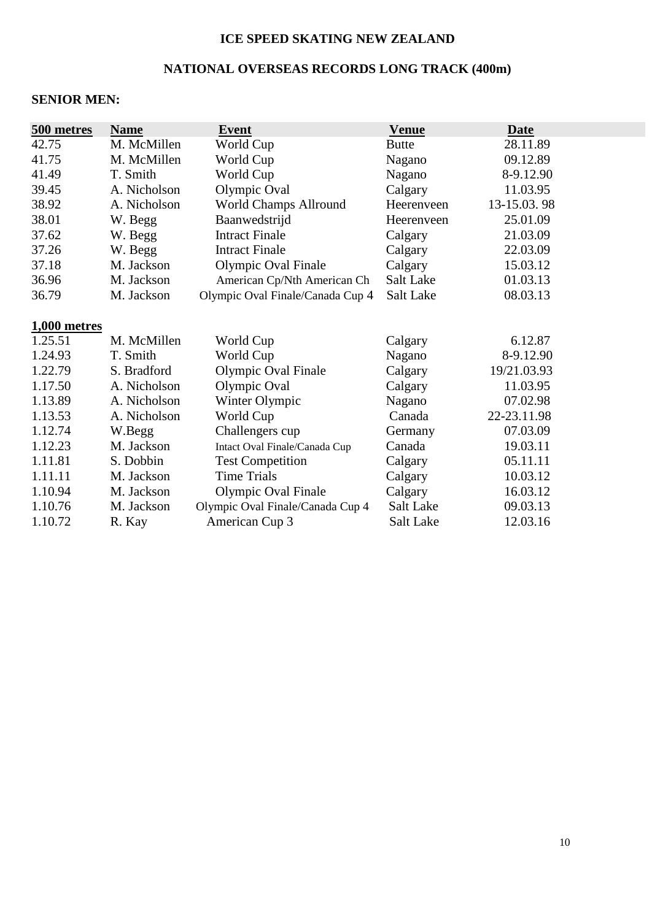#### **ICE SPEED SKATING NEW ZEALAND**

# **NATIONAL OVERSEAS RECORDS LONG TRACK (400m)**

#### **SENIOR MEN:**

| 500 metres   | <b>Name</b>  | <b>Event</b>                     | <b>Venue</b>     | <b>Date</b> |
|--------------|--------------|----------------------------------|------------------|-------------|
| 42.75        | M. McMillen  | World Cup                        | <b>Butte</b>     | 28.11.89    |
| 41.75        | M. McMillen  | World Cup                        | Nagano           | 09.12.89    |
| 41.49        | T. Smith     | World Cup                        | Nagano           | 8-9.12.90   |
| 39.45        | A. Nicholson | Olympic Oval                     | Calgary          | 11.03.95    |
| 38.92        | A. Nicholson | <b>World Champs Allround</b>     | Heerenveen       | 13-15.03.98 |
| 38.01        | W. Begg      | Baanwedstrijd                    | Heerenveen       | 25.01.09    |
| 37.62        | W. Begg      | <b>Intract Finale</b>            | Calgary          | 21.03.09    |
| 37.26        | W. Begg      | <b>Intract Finale</b>            | Calgary          | 22.03.09    |
| 37.18        | M. Jackson   | Olympic Oval Finale              | Calgary          | 15.03.12    |
| 36.96        | M. Jackson   | American Cp/Nth American Ch      | Salt Lake        | 01.03.13    |
| 36.79        | M. Jackson   | Olympic Oval Finale/Canada Cup 4 | <b>Salt Lake</b> | 08.03.13    |
| 1,000 metres |              |                                  |                  |             |
| 1.25.51      | M. McMillen  | World Cup                        | Calgary          | 6.12.87     |
| 1.24.93      | T. Smith     | World Cup                        | Nagano           | 8-9.12.90   |
| 1.22.79      | S. Bradford  | Olympic Oval Finale              | Calgary          | 19/21.03.93 |
| 1.17.50      | A. Nicholson | Olympic Oval                     | Calgary          | 11.03.95    |
| 1.13.89      | A. Nicholson | Winter Olympic                   | Nagano           | 07.02.98    |
| 1.13.53      | A. Nicholson | World Cup                        | Canada           | 22-23.11.98 |
| 1.12.74      | W.Begg       | Challengers cup                  | Germany          | 07.03.09    |
| 1.12.23      | M. Jackson   | Intact Oval Finale/Canada Cup    | Canada           | 19.03.11    |
| 1.11.81      | S. Dobbin    | <b>Test Competition</b>          | Calgary          | 05.11.11    |
| 1.11.11      | M. Jackson   | <b>Time Trials</b>               | Calgary          | 10.03.12    |
| 1.10.94      | M. Jackson   | Olympic Oval Finale              | Calgary          | 16.03.12    |
| 1.10.76      | M. Jackson   | Olympic Oval Finale/Canada Cup 4 | Salt Lake        | 09.03.13    |
| 1.10.72      | R. Kay       | American Cup 3                   | Salt Lake        | 12.03.16    |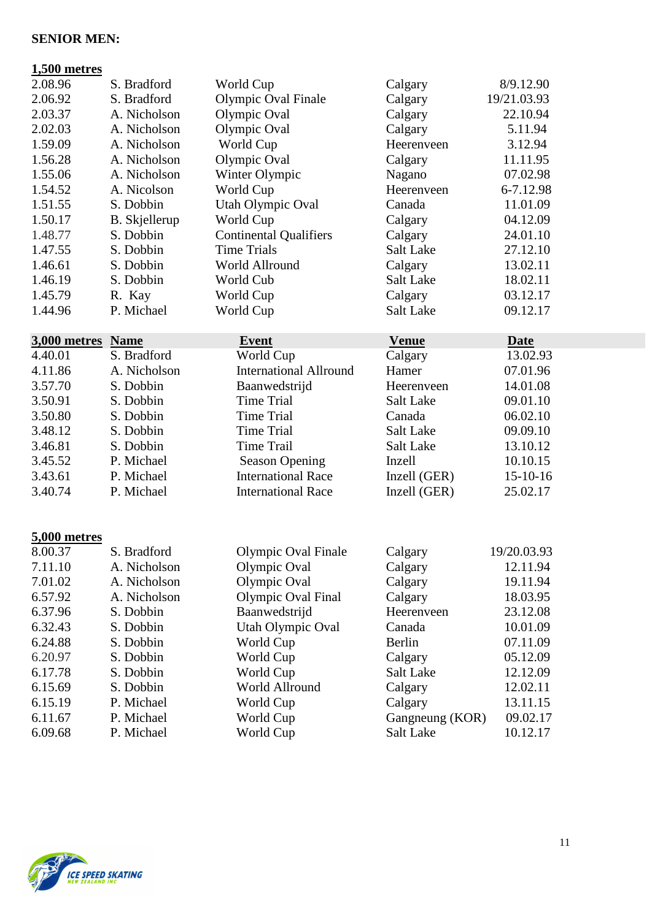#### **SENIOR MEN:**

# **1,500 metres**  2.08.96 S. Bradford World Cup Calgary 8/9.12.90<br>2.06.92 S. Bradford Olympic Oval Finale Calgary 19/21.03.93 2.06.92 S. Bradford Olympic Oval Finale Calgary 19/21.03.93

| 2.03.37 | A. Nicholson  | Olympic Oval                  | Calgary    | 22.10.94  |
|---------|---------------|-------------------------------|------------|-----------|
| 2.02.03 | A. Nicholson  | Olympic Oval                  | Calgary    | 5.11.94   |
| 1.59.09 | A. Nicholson  | World Cup                     | Heerenveen | 3.12.94   |
| 1.56.28 | A. Nicholson  | Olympic Oval                  | Calgary    | 11.11.95  |
| 1.55.06 | A. Nicholson  | Winter Olympic                | Nagano     | 07.02.98  |
| 1.54.52 | A. Nicolson   | World Cup                     | Heerenveen | 6-7.12.98 |
| 1.51.55 | S. Dobbin     | Utah Olympic Oval             | Canada     | 11.01.09  |
| 1.50.17 | B. Skjellerup | World Cup                     | Calgary    | 04.12.09  |
| 1.48.77 | S. Dobbin     | <b>Continental Qualifiers</b> | Calgary    | 24.01.10  |
| 1.47.55 | S. Dobbin     | Time Trials                   | Salt Lake  | 27.12.10  |
| 1.46.61 | S. Dobbin     | World Allround                | Calgary    | 13.02.11  |
| 1.46.19 | S. Dobbin     | World Cub                     | Salt Lake  | 18.02.11  |
| 1.45.79 | R. Kay        | World Cup                     | Calgary    | 03.12.17  |
| 1.44.96 | P. Michael    | World Cup                     | Salt Lake  | 09.12.17  |

#### **3,000 metres Name Event Event Venue Date Date Date 1**3.02 4.40.01 S. Bradford World Cup Calgary 13.02.93 4.11.86 A. Nicholson International Allround Hamer 07.01.96 3.57.70 S. Dobbin Baanwedstrijd Heerenveen 14.01.08 3.50.91 S. Dobbin Time Trial Salt Lake 09.01.10 3.50.80 S. Dobbin Time Trial Canada 06.02.10 3.48.12 S. Dobbin Time Trial Salt Lake 09.09.10 3.46.81 S. Dobbin Time Trail Salt Lake 13.10.12 3.45.52 P. Michael Season Opening Inzell 10.10.15 3.43.61 P. Michael International Race Inzell (GER) 15-10-16 3.40.74 P. Michael International Race Inzell (GER) 25.02.17

#### **5,000 metres**

| 8.00.37 | S. Bradford  | Olympic Oval Finale | Calgary         | 19/20.03.93 |
|---------|--------------|---------------------|-----------------|-------------|
| 7.11.10 | A. Nicholson | Olympic Oval        | Calgary         | 12.11.94    |
| 7.01.02 | A. Nicholson | Olympic Oval        | Calgary         | 19.11.94    |
| 6.57.92 | A. Nicholson | Olympic Oval Final  | Calgary         | 18.03.95    |
| 6.37.96 | S. Dobbin    | Baanwedstrijd       | Heerenveen      | 23.12.08    |
| 6.32.43 | S. Dobbin    | Utah Olympic Oval   | Canada          | 10.01.09    |
| 6.24.88 | S. Dobbin    | World Cup           | Berlin          | 07.11.09    |
| 6.20.97 | S. Dobbin    | World Cup           | Calgary         | 05.12.09    |
| 6.17.78 | S. Dobbin    | World Cup           | Salt Lake       | 12.12.09    |
| 6.15.69 | S. Dobbin    | World Allround      | Calgary         | 12.02.11    |
| 6.15.19 | P. Michael   | World Cup           | Calgary         | 13.11.15    |
| 6.11.67 | P. Michael   | World Cup           | Gangneung (KOR) | 09.02.17    |
| 6.09.68 | P. Michael   | World Cup           | Salt Lake       | 10.12.17    |

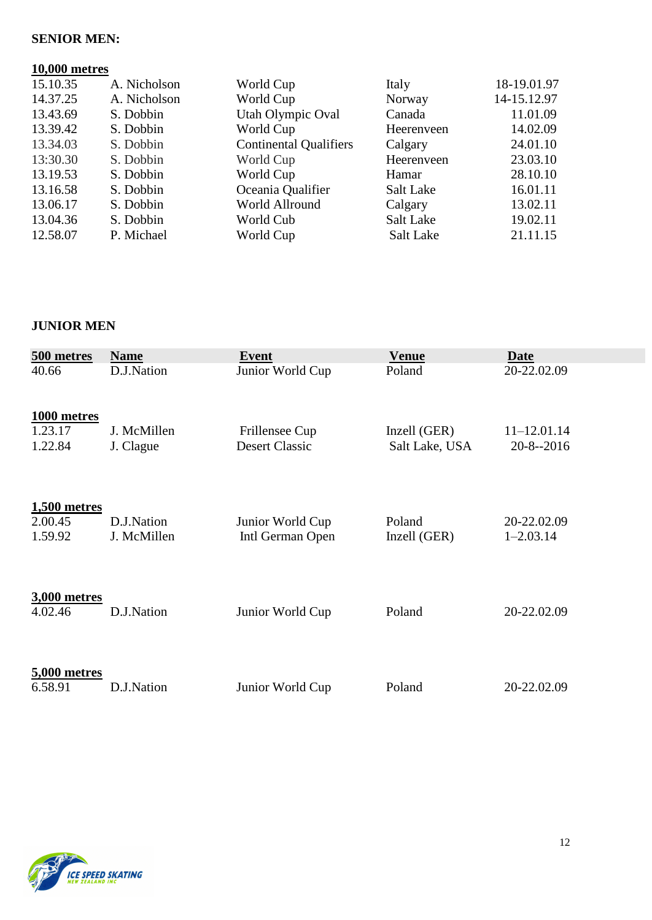#### **SENIOR MEN:**

#### **10,000 metres**

| 15.10.35 | A. Nicholson | World Cup                     | Italy      | 18-19.01.97 |
|----------|--------------|-------------------------------|------------|-------------|
| 14.37.25 | A. Nicholson | World Cup                     | Norway     | 14-15.12.97 |
| 13.43.69 | S. Dobbin    | Utah Olympic Oval             | Canada     | 11.01.09    |
| 13.39.42 | S. Dobbin    | World Cup                     | Heerenveen | 14.02.09    |
| 13.34.03 | S. Dobbin    | <b>Continental Qualifiers</b> | Calgary    | 24.01.10    |
| 13:30.30 | S. Dobbin    | World Cup                     | Heerenveen | 23.03.10    |
| 13.19.53 | S. Dobbin    | World Cup                     | Hamar      | 28.10.10    |
| 13.16.58 | S. Dobbin    | Oceania Qualifier             | Salt Lake  | 16.01.11    |
| 13.06.17 | S. Dobbin    | World Allround                | Calgary    | 13.02.11    |
| 13.04.36 | S. Dobbin    | World Cub                     | Salt Lake  | 19.02.11    |
| 12.58.07 | P. Michael   | World Cup                     | Salt Lake  | 21.11.15    |

### **JUNIOR MEN**

| 500 metres             | <b>Name</b>               | Event                                | <b>Venue</b>           | <b>Date</b>                  |
|------------------------|---------------------------|--------------------------------------|------------------------|------------------------------|
| 40.66                  | D.J.Nation                | Junior World Cup                     | Poland                 | 20-22.02.09                  |
| 1000 metres<br>1.23.17 | J. McMillen               | Frillensee Cup                       | Inzell (GER)           | $11 - 12.01.14$              |
| 1.22.84                | J. Clague                 | <b>Desert Classic</b>                | Salt Lake, USA         | $20 - 8 - 2016$              |
| <b>1,500 metres</b>    |                           |                                      |                        |                              |
| 2.00.45<br>1.59.92     | D.J.Nation<br>J. McMillen | Junior World Cup<br>Intl German Open | Poland<br>Inzell (GER) | 20-22.02.09<br>$1 - 2.03.14$ |
| 3,000 metres           |                           |                                      |                        |                              |
| 4.02.46                | D.J.Nation                | Junior World Cup                     | Poland                 | 20-22.02.09                  |
| 5,000 metres           |                           |                                      |                        |                              |
| 6.58.91                | D.J.Nation                | Junior World Cup                     | Poland                 | 20-22.02.09                  |